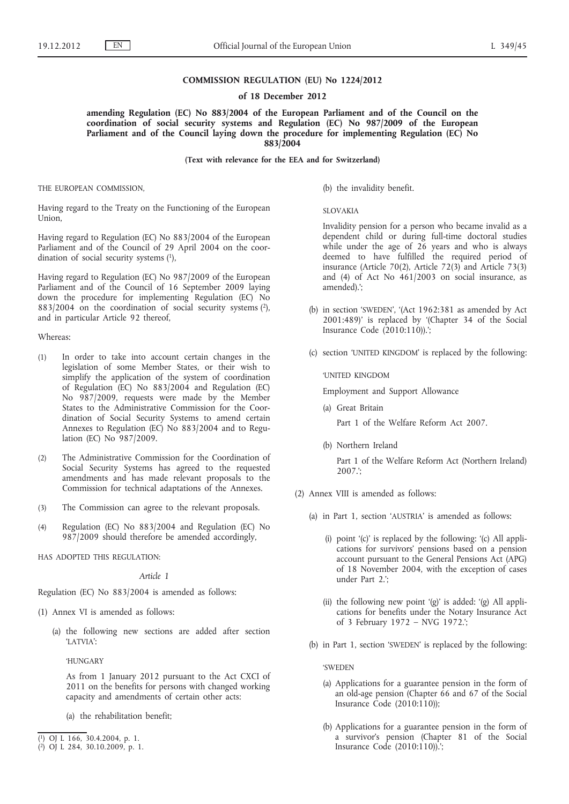## **COMMISSION REGULATION (EU) No 1224/2012**

### **of 18 December 2012**

**amending Regulation (EC) No 883/2004 of the European Parliament and of the Council on the coordination of social security systems and Regulation (EC) No 987/2009 of the European Parliament and of the Council laying down the procedure for implementing Regulation (EC) No 883/2004**

**(Text with relevance for the EEA and for Switzerland)**

THE EUROPEAN COMMISSION,

Having regard to the Treaty on the Functioning of the European Union,

Having regard to Regulation (EC) No 883/2004 of the European Parliament and of the Council of 29 April 2004 on the coordination of social security systems (1),

Having regard to Regulation (EC) No 987/2009 of the European Parliament and of the Council of 16 September 2009 laying down the procedure for implementing Regulation (EC) No  $883/2004$  on the coordination of social security systems (2), and in particular Article 92 thereof,

#### Whereas:

- (1) In order to take into account certain changes in the legislation of some Member States, or their wish to simplify the application of the system of coordination of Regulation (EC) No 883/2004 and Regulation (EC) No 987/2009, requests were made by the Member States to the Administrative Commission for the Coordination of Social Security Systems to amend certain Annexes to Regulation (EC) No 883/2004 and to Regulation (EC) No 987/2009.
- (2) The Administrative Commission for the Coordination of Social Security Systems has agreed to the requested amendments and has made relevant proposals to the Commission for technical adaptations of the Annexes.
- (3) The Commission can agree to the relevant proposals.
- (4) Regulation (EC) No 883/2004 and Regulation (EC) No 987/2009 should therefore be amended accordingly,

HAS ADOPTED THIS REGULATION:

*Article 1*

Regulation (EC) No 883/2004 is amended as follows:

- (1) Annex VI is amended as follows:
	- (a) the following new sections are added after section 'LATVIA':

'HUNGARY

As from 1 January 2012 pursuant to the Act CXCI of 2011 on the benefits for persons with changed working capacity and amendments of certain other acts:

(a) the rehabilitation benefit;

(b) the invalidity benefit.

SLOVAKIA

Invalidity pension for a person who became invalid as a dependent child or during full-time doctoral studies while under the age of 26 years and who is always deemed to have fulfilled the required period of insurance (Article 70(2), Article 72(3) and Article 73(3) and (4) of Act No 461/2003 on social insurance, as amended).';

- (b) in section 'SWEDEN', '(Act 1962:381 as amended by Act 2001:489)' is replaced by '(Chapter 34 of the Social Insurance Code (2010:110)).';
- (c) section 'UNITED KINGDOM' is replaced by the following:

'UNITED KINGDOM

Employment and Support Allowance

(a) Great Britain

Part 1 of the Welfare Reform Act 2007.

(b) Northern Ireland

Part 1 of the Welfare Reform Act (Northern Ireland) 2007.';

- (2) Annex VIII is amended as follows:
	- (a) in Part 1, section 'AUSTRIA' is amended as follows:
		- (i) point '(c)' is replaced by the following: '(c) All applications for survivors' pensions based on a pension account pursuant to the General Pensions Act (APG) of 18 November 2004, with the exception of cases under Part 2.';
		- (ii) the following new point '(g)' is added: '(g) All applications for benefits under the Notary Insurance Act of 3 February 1972 – NVG 1972.';
	- (b) in Part 1, section 'SWEDEN' is replaced by the following:

'SWEDEN

- (a) Applications for a guarantee pension in the form of an old-age pension (Chapter 66 and 67 of the Social Insurance Code (2010:110));
- (b) Applications for a guarantee pension in the form of a survivor's pension (Chapter 81 of the Social Insurance Code (2010:110)).';

<sup>(</sup> 1) OJ L 166, 30.4.2004, p. 1.

<sup>(</sup> 2) OJ L 284, 30.10.2009, p. 1.